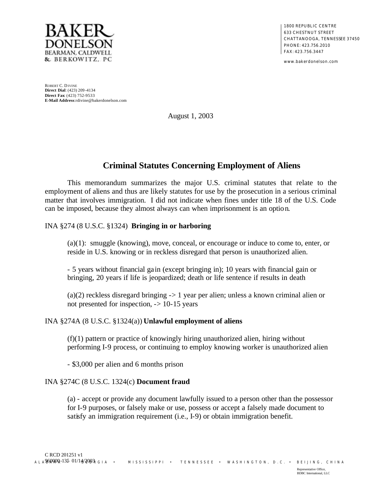

1800 REPUBLIC CENTRE 633 CHESTNUT STREET CHATTANOOGA, TENNESSEE 37450 PHONE: 423.756.2010 FAX: 423.756.3447

www.bakerdonelson.com

ROBERT C. DIVINE **Direct Dial**: (423) 209 -4134 **Direct Fax**: (423) 752-9533 **E-Mail Address**:rdivine@bakerdonelson.com

August 1, 2003

# **Criminal Statutes Concerning Employment of Aliens**

This memorandum summarizes the major U.S. criminal statutes that relate to the employment of aliens and thus are likely statutes for use by the prosecution in a serious criminal matter that involves immigration. I did not indicate when fines under title 18 of the U.S. Code can be imposed, because they almost always can when imprisonment is an option.

## INA §274 (8 U.S.C. §1324) **Bringing in or harboring**

(a)(1): smuggle (knowing), move, conceal, or encourage or induce to come to, enter, or reside in U.S. knowing or in reckless disregard that person is unauthorized alien.

- 5 years without financial gain (except bringing in); 10 years with financial gain or bringing, 20 years if life is jeopardized; death or life sentence if results in death

 $(a)(2)$  reckless disregard bringing  $\geq 1$  year per alien; unless a known criminal alien or not presented for inspection, -> 10-15 years

## INA §274A (8 U.S.C. §1324(a)) **Unlawful employment of aliens**

(f)(1) pattern or practice of knowingly hiring unauthorized alien, hiring without performing I-9 process, or continuing to employ knowing worker is unauthorized alien

- \$3,000 per alien and 6 months prison

#### INA §274C (8 U.S.C. 1324(c) **Document fraud**

(a) - accept or provide any document lawfully issued to a person other than the possessor for I-9 purposes, or falsely make or use, possess or accept a falsely made document to satisfy an immigration requirement (i.e., I-9) or obtain immigration benefit.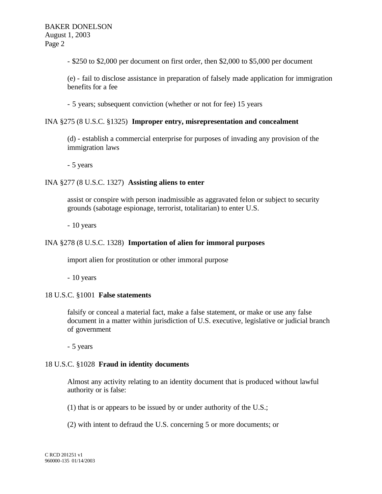- \$250 to \$2,000 per document on first order, then \$2,000 to \$5,000 per document

(e) - fail to disclose assistance in preparation of falsely made application for immigration benefits for a fee

- 5 years; subsequent conviction (whether or not for fee) 15 years

#### INA §275 (8 U.S.C. §1325) **Improper entry, misrepresentation and concealment**

(d) - establish a commercial enterprise for purposes of invading any provision of the immigration laws

- 5 years

#### INA §277 (8 U.S.C. 1327) **Assisting aliens to enter**

assist or conspire with person inadmissible as aggravated felon or subject to security grounds (sabotage espionage, terrorist, totalitarian) to enter U.S.

- 10 years

## INA §278 (8 U.S.C. 1328) **Importation of alien for immoral purposes**

import alien for prostitution or other immoral purpose

- 10 years

## 18 U.S.C. §1001 **False statements**

falsify or conceal a material fact, make a false statement, or make or use any false document in a matter within jurisdiction of U.S. executive, legislative or judicial branch of government

- 5 years

#### 18 U.S.C. §1028 **Fraud in identity documents**

Almost any activity relating to an identity document that is produced without lawful authority or is false:

(1) that is or appears to be issued by or under authority of the U.S.;

(2) with intent to defraud the U.S. concerning 5 or more documents; or